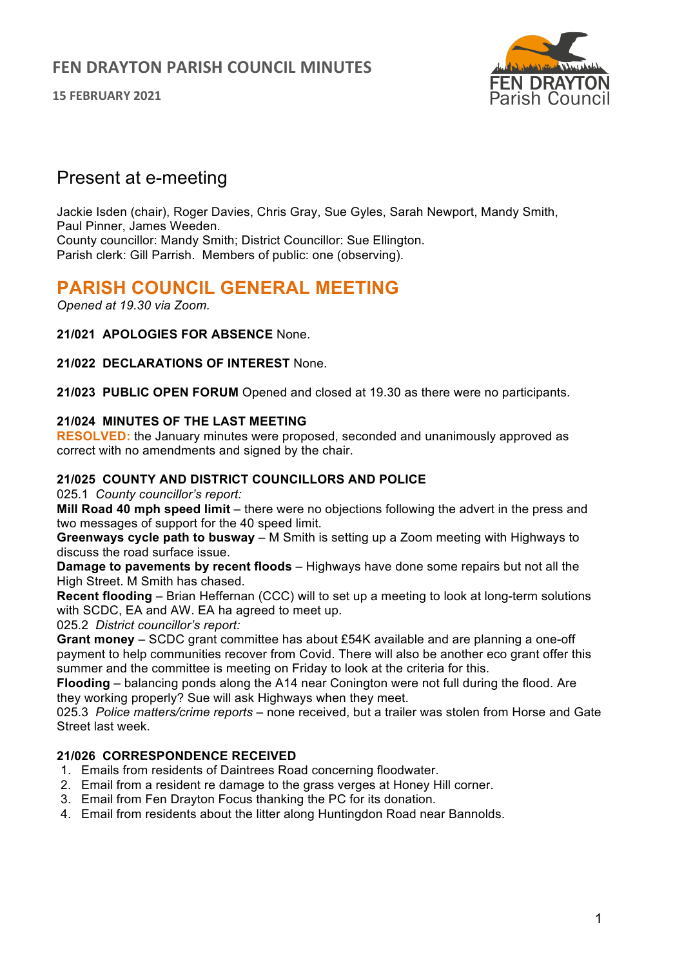**15 FEBRUARY 2021**



## Present at e-meeting

Jackie Isden (chair), Roger Davies, Chris Gray, Sue Gyles, Sarah Newport, Mandy Smith, Paul Pinner, James Weeden. County councillor: Mandy Smith; District Councillor: Sue Ellington. Parish clerk: Gill Parrish. Members of public: one (observing).

# **PARISH COUNCIL GENERAL MEETING**

*Opened at 19.30 via Zoom.*

**21/021 APOLOGIES FOR ABSENCE** None.

**21/022 DECLARATIONS OF INTEREST** None.

**21/023 PUBLIC OPEN FORUM** Opened and closed at 19.30 as there were no participants.

#### **21/024 MINUTES OF THE LAST MEETING**

**RESOLVED:** the January minutes were proposed, seconded and unanimously approved as correct with no amendments and signed by the chair.

#### **21/025 COUNTY AND DISTRICT COUNCILLORS AND POLICE**

025.1 *County councillor's report:*

**Mill Road 40 mph speed limit** – there were no objections following the advert in the press and two messages of support for the 40 speed limit.

**Greenways cycle path to busway** – M Smith is setting up a Zoom meeting with Highways to discuss the road surface issue.

**Damage to pavements by recent floods** – Highways have done some repairs but not all the High Street. M Smith has chased.

**Recent flooding** – Brian Heffernan (CCC) will to set up a meeting to look at long-term solutions with SCDC, EA and AW. EA ha agreed to meet up.

025.2 *District councillor's report:*

**Grant money** – SCDC grant committee has about £54K available and are planning a one-off payment to help communities recover from Covid. There will also be another eco grant offer this summer and the committee is meeting on Friday to look at the criteria for this.

**Flooding** – balancing ponds along the A14 near Conington were not full during the flood. Are they working properly? Sue will ask Highways when they meet.

025.3 *Police matters/crime reports* – none received, but a trailer was stolen from Horse and Gate Street last week.

### **21/026 CORRESPONDENCE RECEIVED**

- 1. Emails from residents of Daintrees Road concerning floodwater.
- 2. Email from a resident re damage to the grass verges at Honey Hill corner.
- 3. Email from Fen Drayton Focus thanking the PC for its donation.
- 4. Email from residents about the litter along Huntingdon Road near Bannolds.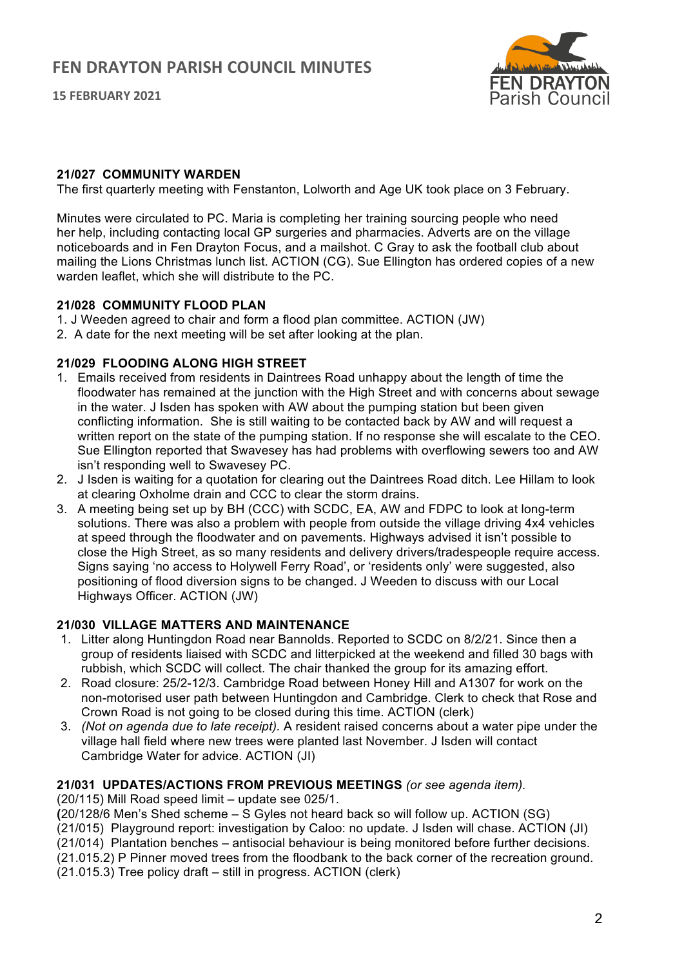**15 FEBRUARY 2021**



#### **21/027 COMMUNITY WARDEN**

The first quarterly meeting with Fenstanton, Lolworth and Age UK took place on 3 February.

Minutes were circulated to PC. Maria is completing her training sourcing people who need her help, including contacting local GP surgeries and pharmacies. Adverts are on the village noticeboards and in Fen Drayton Focus, and a mailshot. C Gray to ask the football club about mailing the Lions Christmas lunch list. ACTION (CG). Sue Ellington has ordered copies of a new warden leaflet, which she will distribute to the PC.

#### **21/028 COMMUNITY FLOOD PLAN**

- 1. J Weeden agreed to chair and form a flood plan committee. ACTION (JW)
- 2. A date for the next meeting will be set after looking at the plan.

#### **21/029 FLOODING ALONG HIGH STREET**

- 1. Emails received from residents in Daintrees Road unhappy about the length of time the floodwater has remained at the junction with the High Street and with concerns about sewage in the water. J Isden has spoken with AW about the pumping station but been given conflicting information. She is still waiting to be contacted back by AW and will request a written report on the state of the pumping station. If no response she will escalate to the CEO. Sue Ellington reported that Swavesey has had problems with overflowing sewers too and AW isn't responding well to Swavesey PC.
- 2. J Isden is waiting for a quotation for clearing out the Daintrees Road ditch. Lee Hillam to look at clearing Oxholme drain and CCC to clear the storm drains.
- 3. A meeting being set up by BH (CCC) with SCDC, EA, AW and FDPC to look at long-term solutions. There was also a problem with people from outside the village driving 4x4 vehicles at speed through the floodwater and on pavements. Highways advised it isn't possible to close the High Street, as so many residents and delivery drivers/tradespeople require access. Signs saying 'no access to Holywell Ferry Road', or 'residents only' were suggested, also positioning of flood diversion signs to be changed. J Weeden to discuss with our Local Highways Officer. ACTION (JW)

#### **21/030 VILLAGE MATTERS AND MAINTENANCE**

- 1. Litter along Huntingdon Road near Bannolds. Reported to SCDC on 8/2/21. Since then a group of residents liaised with SCDC and litterpicked at the weekend and filled 30 bags with rubbish, which SCDC will collect. The chair thanked the group for its amazing effort.
- 2. Road closure: 25/2-12/3. Cambridge Road between Honey Hill and A1307 for work on the non-motorised user path between Huntingdon and Cambridge. Clerk to check that Rose and Crown Road is not going to be closed during this time. ACTION (clerk)
- 3. *(Not on agenda due to late receipt).* A resident raised concerns about a water pipe under the village hall field where new trees were planted last November. J Isden will contact Cambridge Water for advice. ACTION (JI)

#### **21/031 UPDATES/ACTIONS FROM PREVIOUS MEETINGS** *(or see agenda item).*

(20/115) Mill Road speed limit – update see 025/1.

**(**20/128/6 Men's Shed scheme – S Gyles not heard back so will follow up. ACTION (SG)

(21/015) Playground report: investigation by Caloo: no update. J Isden will chase. ACTION (JI)

- (21/014) Plantation benches antisocial behaviour is being monitored before further decisions.
- (21.015.2) P Pinner moved trees from the floodbank to the back corner of the recreation ground.
- (21.015.3) Tree policy draft still in progress. ACTION (clerk)